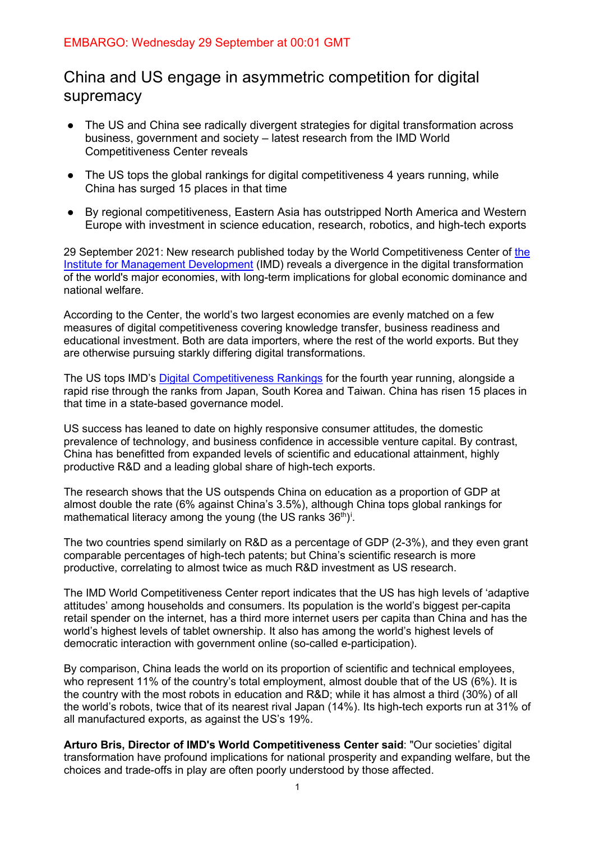# China and US engage in asymmetric competition for digital supremacy

- The US and China see radically divergent strategies for digital transformation across business, government and society – latest research from the IMD World Competitiveness Center reveals
- The US tops the global rankings for digital competitiveness 4 years running, while China has surged 15 places in that time
- By regional competitiveness, Eastern Asia has outstripped North America and Western Europe with investment in science education, research, robotics, and high-tech exports

29 September 2021: New research published today by the World Competitiveness Center of [the](https://www.imd.org/)  [Institute for Management Development](https://www.imd.org/) (IMD) reveals a divergence in the digital transformation of the world's major economies, with long-term implications for global economic dominance and national welfare.

According to the Center, the world's two largest economies are evenly matched on a few measures of digital competitiveness covering knowledge transfer, business readiness and educational investment. Both are data importers, where the rest of the world exports. But they are otherwise pursuing starkly differing digital transformations.

The US tops IMD's [Digital Competitiveness Rankings](https://www.imd.org/centers/world-competitiveness-center/rankings/world-digital-competitiveness/) for the fourth year running, alongside a rapid rise through the ranks from Japan, South Korea and Taiwan. China has risen 15 places in that time in a state-based governance model.

US success has leaned to date on highly responsive consumer attitudes, the domestic prevalence of technology, and business confidence in accessible venture capital. By contrast, China has benefitted from expanded levels of scientific and educational attainment, highly productive R&D and a leading global share of high-tech exports.

The research shows that the US outspends China on education as a proportion of GDP at almost double the rate (6% against China's 3.5%), although China tops global rankings for mathemat[i](#page-4-0)cal literacy among the young (the US ranks 36 $^{\text{th}}$ )<sup>:</sup>.

The two countries spend similarly on R&D as a percentage of GDP (2-3%), and they even grant comparable percentages of high-tech patents; but China's scientific research is more productive, correlating to almost twice as much R&D investment as US research.

The IMD World Competitiveness Center report indicates that the US has high levels of 'adaptive attitudes' among households and consumers. Its population is the world's biggest per-capita retail spender on the internet, has a third more internet users per capita than China and has the world's highest levels of tablet ownership. It also has among the world's highest levels of democratic interaction with government online (so-called e-participation).

By comparison, China leads the world on its proportion of scientific and technical employees, who represent 11% of the country's total employment, almost double that of the US (6%). It is the country with the most robots in education and R&D; while it has almost a third (30%) of all the world's robots, twice that of its nearest rival Japan (14%). Its high-tech exports run at 31% of all manufactured exports, as against the US's 19%.

**Arturo Bris, Director of IMD's World Competitiveness Center said**: "Our societies' digital transformation have profound implications for national prosperity and expanding welfare, but the choices and trade-offs in play are often poorly understood by those affected.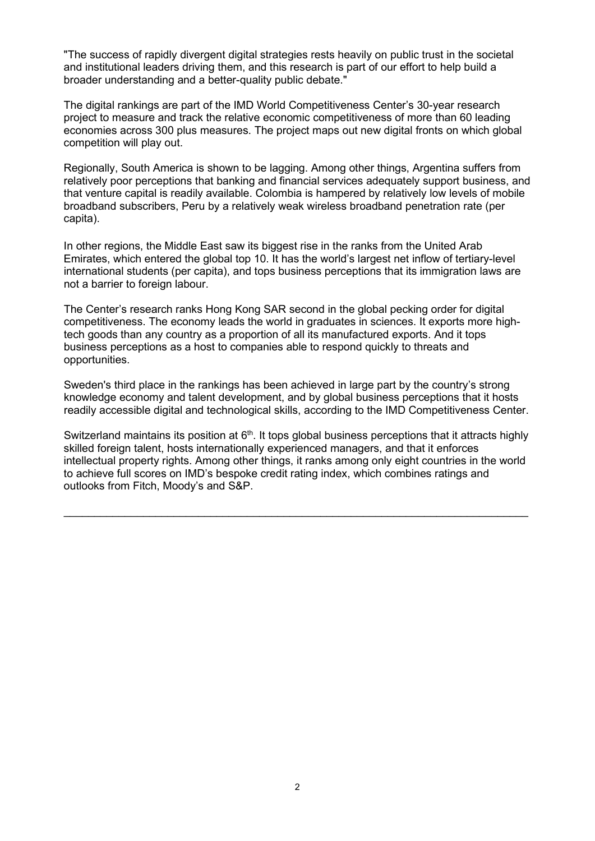"The success of rapidly divergent digital strategies rests heavily on public trust in the societal and institutional leaders driving them, and this research is part of our effort to help build a broader understanding and a better-quality public debate."

The digital rankings are part of the IMD World Competitiveness Center's 30-year research project to measure and track the relative economic competitiveness of more than 60 leading economies across 300 plus measures. The project maps out new digital fronts on which global competition will play out.

Regionally, South America is shown to be lagging. Among other things, Argentina suffers from relatively poor perceptions that banking and financial services adequately support business, and that venture capital is readily available. Colombia is hampered by relatively low levels of mobile broadband subscribers, Peru by a relatively weak wireless broadband penetration rate (per capita).

In other regions, the Middle East saw its biggest rise in the ranks from the United Arab Emirates, which entered the global top 10. It has the world's largest net inflow of tertiary-level international students (per capita), and tops business perceptions that its immigration laws are not a barrier to foreign labour.

The Center's research ranks Hong Kong SAR second in the global pecking order for digital competitiveness. The economy leads the world in graduates in sciences. It exports more hightech goods than any country as a proportion of all its manufactured exports. And it tops business perceptions as a host to companies able to respond quickly to threats and opportunities.

Sweden's third place in the rankings has been achieved in large part by the country's strong knowledge economy and talent development, and by global business perceptions that it hosts readily accessible digital and technological skills, according to the IMD Competitiveness Center.

Switzerland maintains its position at  $6<sup>th</sup>$ . It tops global business perceptions that it attracts highly skilled foreign talent, hosts internationally experienced managers, and that it enforces intellectual property rights. Among other things, it ranks among only eight countries in the world to achieve full scores on IMD's bespoke credit rating index, which combines ratings and outlooks from Fitch, Moody's and S&P.

 $\mathcal{L}_\text{max} = \frac{1}{2} \sum_{i=1}^{n} \frac{1}{2} \sum_{i=1}^{n} \frac{1}{2} \sum_{i=1}^{n} \frac{1}{2} \sum_{i=1}^{n} \frac{1}{2} \sum_{i=1}^{n} \frac{1}{2} \sum_{i=1}^{n} \frac{1}{2} \sum_{i=1}^{n} \frac{1}{2} \sum_{i=1}^{n} \frac{1}{2} \sum_{i=1}^{n} \frac{1}{2} \sum_{i=1}^{n} \frac{1}{2} \sum_{i=1}^{n} \frac{1}{2} \sum_{i=1}^{n} \frac{1$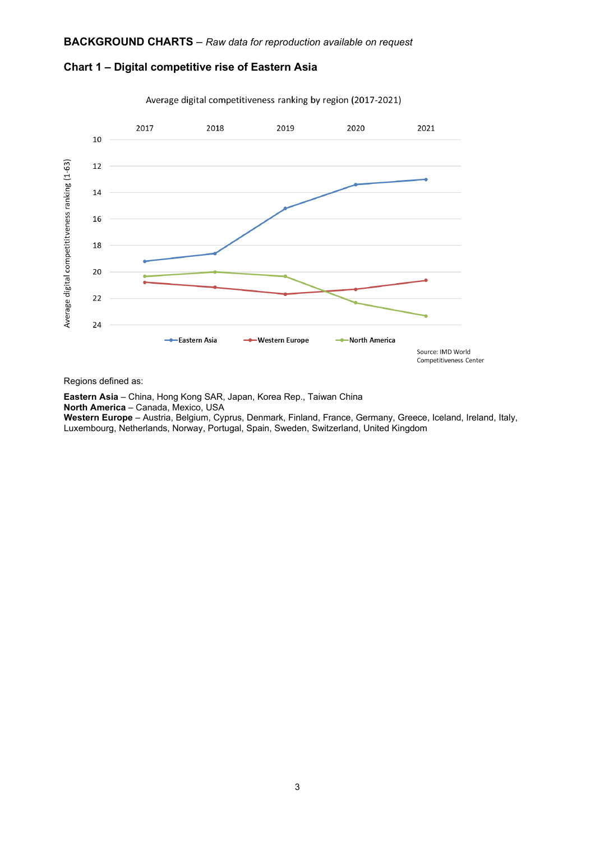



Average digital competitiveness ranking by region (2017-2021)

Regions defined as:

**Eastern Asia** – China, Hong Kong SAR, Japan, Korea Rep., Taiwan China **North America** – Canada, Mexico, USA **Western Europe** – Austria, Belgium, Cyprus, Denmark, Finland, France, Germany, Greece, Iceland, Ireland, Italy, Luxembourg, Netherlands, Norway, Portugal, Spain, Sweden, Switzerland, United Kingdom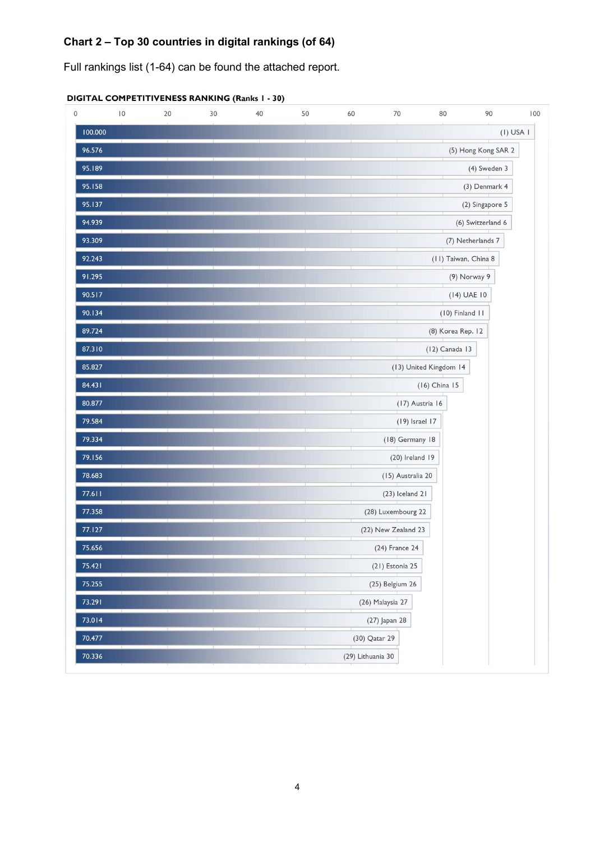## **Chart 2 – Top 30 countries in digital rankings (of 64)**

Full rankings list (1-64) can be found the attached report.

| 0 |         | $\overline{10}$ | 20 | 30 | 40 | 50 | 60                | 70                  | 80                     | 90                  | 100           |
|---|---------|-----------------|----|----|----|----|-------------------|---------------------|------------------------|---------------------|---------------|
|   | 100.000 |                 |    |    |    |    |                   |                     |                        |                     | $(I)$ USA $I$ |
|   | 96.576  |                 |    |    |    |    |                   |                     |                        | (5) Hong Kong SAR 2 |               |
|   | 95.189  |                 |    |    |    |    |                   |                     |                        | (4) Sweden 3        |               |
|   | 95.158  |                 |    |    |    |    |                   |                     |                        | (3) Denmark 4       |               |
|   | 95.137  |                 |    |    |    |    |                   |                     |                        | (2) Singapore 5     |               |
|   | 94.939  |                 |    |    |    |    |                   |                     |                        | (6) Switzerland 6   |               |
|   | 93.309  |                 |    |    |    |    |                   |                     |                        | (7) Netherlands 7   |               |
|   | 92.243  |                 |    |    |    |    |                   |                     | (11) Taiwan, China 8   |                     |               |
|   | 91.295  |                 |    |    |    |    |                   |                     |                        | (9) Norway 9        |               |
|   | 90.517  |                 |    |    |    |    |                   |                     |                        | $(14)$ UAE $10$     |               |
|   | 90.134  |                 |    |    |    |    |                   |                     | $(10)$ Finland $11$    |                     |               |
|   | 89.724  |                 |    |    |    |    |                   |                     | (8) Korea Rep. 12      |                     |               |
|   | 87.310  |                 |    |    |    |    |                   |                     | (12) Canada 13         |                     |               |
|   | 85.827  |                 |    |    |    |    |                   |                     | (13) United Kingdom 14 |                     |               |
|   | 84.431  |                 |    |    |    |    |                   |                     | (16) China 15          |                     |               |
|   | 80.877  |                 |    |    |    |    |                   | (17) Austria 16     |                        |                     |               |
|   | 79.584  |                 |    |    |    |    |                   | (19) Israel 17      |                        |                     |               |
|   | 79.334  |                 |    |    |    |    |                   | (18) Germany 18     |                        |                     |               |
|   | 79.156  |                 |    |    |    |    |                   | $(20)$ Ireland 19   |                        |                     |               |
|   | 78.683  |                 |    |    |    |    |                   | (15) Australia 20   |                        |                     |               |
|   | 77.611  |                 |    |    |    |    |                   | (23) Iceland 21     |                        |                     |               |
|   | 77.358  |                 |    |    |    |    |                   | (28) Luxembourg 22  |                        |                     |               |
|   | 77.127  |                 |    |    |    |    |                   | (22) New Zealand 23 |                        |                     |               |
|   | 75.656  |                 |    |    |    |    |                   | (24) France 24      |                        |                     |               |
|   | 75.421  |                 |    |    |    |    |                   | (21) Estonia 25     |                        |                     |               |
|   | 75.255  |                 |    |    |    |    |                   | (25) Belgium 26     |                        |                     |               |
|   | 73.291  |                 |    |    |    |    |                   | (26) Malaysia 27    |                        |                     |               |
|   | 73.014  |                 |    |    |    |    |                   | (27) Japan 28       |                        |                     |               |
|   | 70.477  |                 |    |    |    |    | (30) Qatar 29     |                     |                        |                     |               |
|   | 70.336  |                 |    |    |    |    | (29) Lithuania 30 |                     |                        |                     |               |

|--|